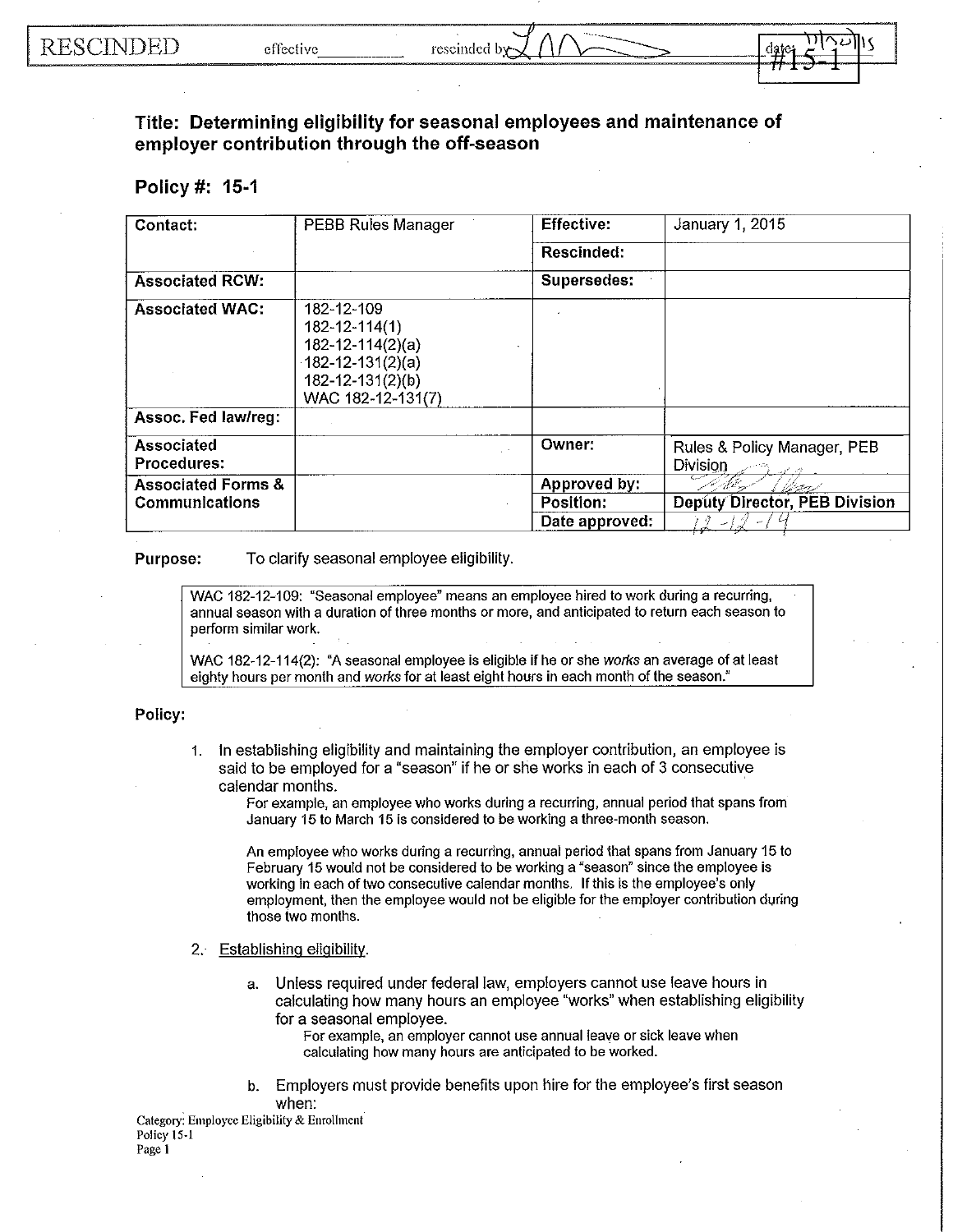## **Title: Determining eligibility for seasonal employees and maintenance of employer contribution through the off-season**

## **Policy #: 15-1**

| Contact:                         | PEBB Rules Manager                                                                                                       | <b>Effective:</b> | January 1, 2015                         |
|----------------------------------|--------------------------------------------------------------------------------------------------------------------------|-------------------|-----------------------------------------|
|                                  |                                                                                                                          | Rescinded:        |                                         |
| <b>Associated RCW:</b>           |                                                                                                                          | Supersedes:       |                                         |
| <b>Associated WAC:</b>           | 182-12-109<br>182-12-114(1)<br>$182 - 12 - 114(2)(a)$<br>$182 - 12 - 131(2)(a)$<br>182-12-131(2)(b)<br>WAC 182-12-131(7) |                   |                                         |
| Assoc. Fed law/reg:              |                                                                                                                          |                   |                                         |
| Associated<br><b>Procedures:</b> |                                                                                                                          | Owner:            | Rules & Policy Manager, PEB<br>Division |
| <b>Associated Forms &amp;</b>    |                                                                                                                          | Approved by:      | 16 Jane                                 |
| <b>Communications</b>            |                                                                                                                          | Position:         | <b>Deputy Director, PEB Division</b>    |
|                                  |                                                                                                                          | Date approved:    |                                         |

**Purpose:** To clarify seasonal employee eligibility.

WAC 182-12-109: "Seasonal employee" means an employee hired to work during a recurring, annual season with a duration of three months or more, and anticipated to return each season to perform similar work.

WAC 182-12-114(2): "A seasonal employee is eligible if he or she *works* an average of at least eighty hours per month and *works* for at least eight hours in each month of the season."

## **Policy:**

1. **In** establishing eligibility and maintaining the employer contribution, an employee is said to be employed for a "season" if he or she works in each of 3 consecutive calendar months. '

For example, an employee who works during a recurring, annual period that spans from January 15 to March 15 is considered to be working a three-month season.

An employee who works during a recurring, annual period that spans from January 15 to February 15 would not be considered to be working a "season" since the employee is working in each of two consecutive calendar months. **If** this is the employee's only employment, then the employee would not be eligible for the employer contribution during those two months.

2. Establishing eligibility.

a. Unless required under federal law, employers cannot use leave hours **in**  calculating how many hours an employee "works" when establishing eligibility for a seasonal employee.

For example, an employer cannot use annual leave or sick leave when calculating how many hours are anticipated to be worked.

b. Employers must provide benefits upon hire for the employee's first season when:

**Category: Employce Eligibility & Enrollment** Policy 15-1 **Page 1**